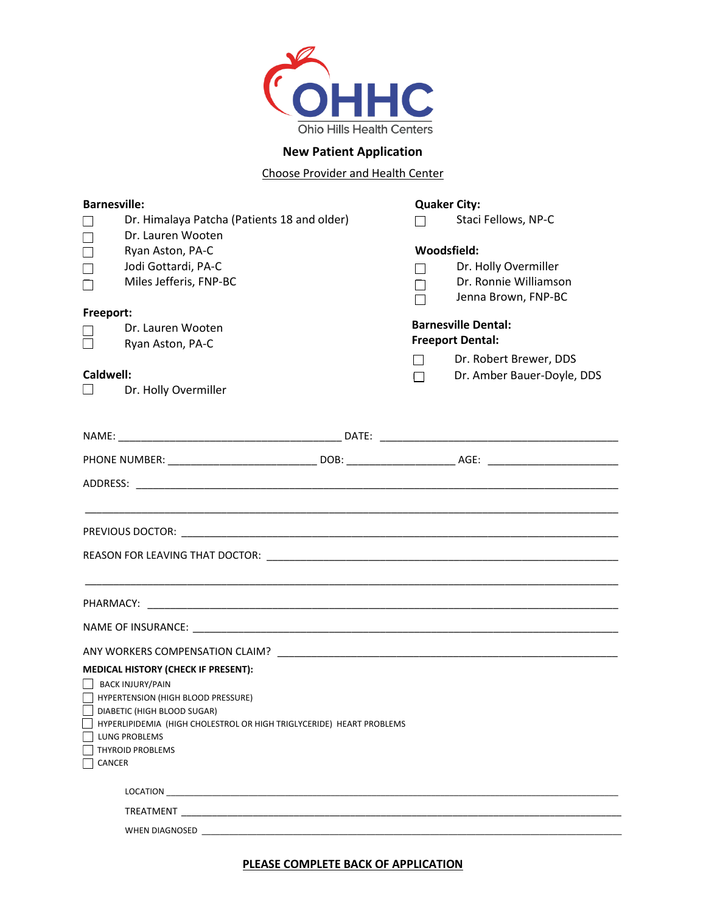

## **New Patient Application**

Choose Provider and Health Center

| <b>Barnesville:</b>                                                  |                                                                                                                                                                                                                                      |  | <b>Quaker City:</b>     |                            |  |
|----------------------------------------------------------------------|--------------------------------------------------------------------------------------------------------------------------------------------------------------------------------------------------------------------------------------|--|-------------------------|----------------------------|--|
|                                                                      | Dr. Himalaya Patcha (Patients 18 and older)                                                                                                                                                                                          |  |                         | Staci Fellows, NP-C        |  |
|                                                                      | Dr. Lauren Wooten                                                                                                                                                                                                                    |  |                         |                            |  |
| $\Box$                                                               | Ryan Aston, PA-C                                                                                                                                                                                                                     |  | Woodsfield:             |                            |  |
| $\Box$                                                               | Jodi Gottardi, PA-C                                                                                                                                                                                                                  |  |                         | Dr. Holly Overmiller       |  |
|                                                                      | Miles Jefferis, FNP-BC                                                                                                                                                                                                               |  |                         | Dr. Ronnie Williamson      |  |
|                                                                      |                                                                                                                                                                                                                                      |  |                         | Jenna Brown, FNP-BC        |  |
| Freeport:                                                            |                                                                                                                                                                                                                                      |  |                         | <b>Barnesville Dental:</b> |  |
|                                                                      | Dr. Lauren Wooten<br>Ryan Aston, PA-C                                                                                                                                                                                                |  | <b>Freeport Dental:</b> |                            |  |
|                                                                      |                                                                                                                                                                                                                                      |  | $\sim$                  | Dr. Robert Brewer, DDS     |  |
| Caldwell:                                                            |                                                                                                                                                                                                                                      |  | П                       | Dr. Amber Bauer-Doyle, DDS |  |
|                                                                      | Dr. Holly Overmiller                                                                                                                                                                                                                 |  |                         |                            |  |
|                                                                      |                                                                                                                                                                                                                                      |  |                         |                            |  |
|                                                                      |                                                                                                                                                                                                                                      |  |                         |                            |  |
|                                                                      |                                                                                                                                                                                                                                      |  |                         |                            |  |
|                                                                      |                                                                                                                                                                                                                                      |  |                         |                            |  |
|                                                                      |                                                                                                                                                                                                                                      |  |                         |                            |  |
|                                                                      |                                                                                                                                                                                                                                      |  |                         |                            |  |
|                                                                      |                                                                                                                                                                                                                                      |  |                         |                            |  |
|                                                                      |                                                                                                                                                                                                                                      |  |                         |                            |  |
|                                                                      |                                                                                                                                                                                                                                      |  |                         |                            |  |
|                                                                      |                                                                                                                                                                                                                                      |  |                         |                            |  |
|                                                                      |                                                                                                                                                                                                                                      |  |                         |                            |  |
|                                                                      |                                                                                                                                                                                                                                      |  |                         |                            |  |
|                                                                      |                                                                                                                                                                                                                                      |  |                         |                            |  |
|                                                                      |                                                                                                                                                                                                                                      |  |                         |                            |  |
|                                                                      |                                                                                                                                                                                                                                      |  |                         |                            |  |
|                                                                      | <b>MEDICAL HISTORY (CHECK IF PRESENT):</b>                                                                                                                                                                                           |  |                         |                            |  |
| BACK INJURY/PAIN                                                     |                                                                                                                                                                                                                                      |  |                         |                            |  |
| HYPERTENSION (HIGH BLOOD PRESSURE)<br>DIABETIC (HIGH BLOOD SUGAR)    |                                                                                                                                                                                                                                      |  |                         |                            |  |
| HYPERLIPIDEMIA (HIGH CHOLESTROL OR HIGH TRIGLYCERIDE) HEART PROBLEMS |                                                                                                                                                                                                                                      |  |                         |                            |  |
| <b>LUNG PROBLEMS</b>                                                 |                                                                                                                                                                                                                                      |  |                         |                            |  |
| <b>THYROID PROBLEMS</b>                                              |                                                                                                                                                                                                                                      |  |                         |                            |  |
| CANCER                                                               |                                                                                                                                                                                                                                      |  |                         |                            |  |
|                                                                      | LOCATION <b>EXECUTIVE CONTRACT CONTRACT CONTRACT CONTRACT CONTRACT CONTRACT CONTRACT CONTRACT CONTRACT CONTRACT CONTRACT CONTRACT CONTRACT CONTRACT CONTRACT CONTRACT CONTRACT CONTRACT CONTRACT CONTRACT CONTRACT CONTRACT CONT</b> |  |                         |                            |  |
|                                                                      |                                                                                                                                                                                                                                      |  |                         |                            |  |
|                                                                      |                                                                                                                                                                                                                                      |  |                         |                            |  |
|                                                                      |                                                                                                                                                                                                                                      |  |                         |                            |  |

**PLEASE COMPLETE BACK OF APPLICATION**